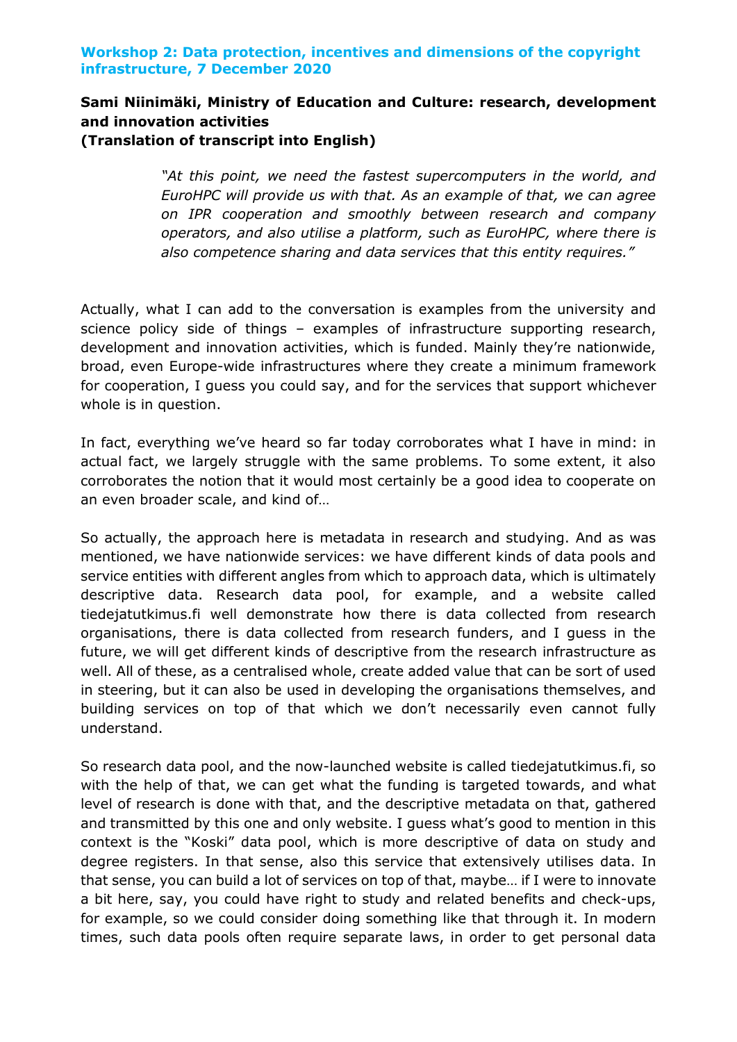# **Sami Niinimäki, Ministry of Education and Culture: research, development and innovation activities (Translation of transcript into English)**

*"At this point, we need the fastest supercomputers in the world, and EuroHPC will provide us with that. As an example of that, we can agree on IPR cooperation and smoothly between research and company operators, and also utilise a platform, such as EuroHPC, where there is also competence sharing and data services that this entity requires."*

Actually, what I can add to the conversation is examples from the university and science policy side of things – examples of infrastructure supporting research, development and innovation activities, which is funded. Mainly they're nationwide, broad, even Europe-wide infrastructures where they create a minimum framework for cooperation, I guess you could say, and for the services that support whichever whole is in question.

In fact, everything we've heard so far today corroborates what I have in mind: in actual fact, we largely struggle with the same problems. To some extent, it also corroborates the notion that it would most certainly be a good idea to cooperate on an even broader scale, and kind of…

So actually, the approach here is metadata in research and studying. And as was mentioned, we have nationwide services: we have different kinds of data pools and service entities with different angles from which to approach data, which is ultimately descriptive data. Research data pool, for example, and a website called tiedejatutkimus.fi well demonstrate how there is data collected from research organisations, there is data collected from research funders, and I guess in the future, we will get different kinds of descriptive from the research infrastructure as well. All of these, as a centralised whole, create added value that can be sort of used in steering, but it can also be used in developing the organisations themselves, and building services on top of that which we don't necessarily even cannot fully understand.

So research data pool, and the now-launched website is called tiedejatutkimus.fi, so with the help of that, we can get what the funding is targeted towards, and what level of research is done with that, and the descriptive metadata on that, gathered and transmitted by this one and only website. I guess what's good to mention in this context is the "Koski" data pool, which is more descriptive of data on study and degree registers. In that sense, also this service that extensively utilises data. In that sense, you can build a lot of services on top of that, maybe… if I were to innovate a bit here, say, you could have right to study and related benefits and check-ups, for example, so we could consider doing something like that through it. In modern times, such data pools often require separate laws, in order to get personal data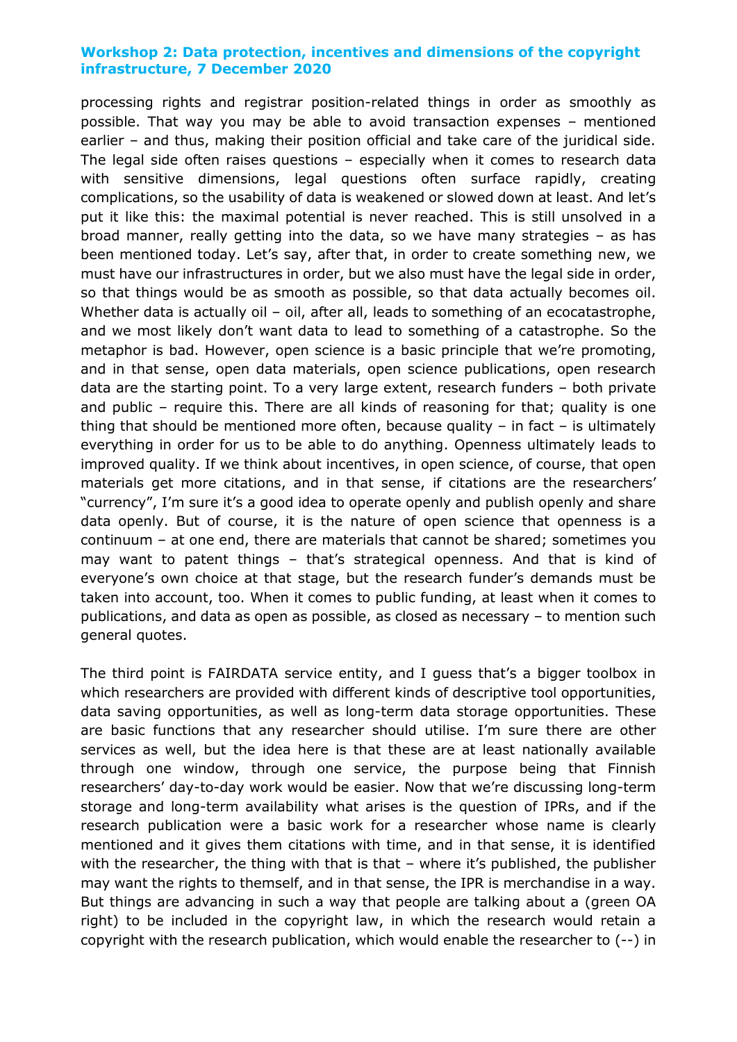processing rights and registrar position-related things in order as smoothly as possible. That way you may be able to avoid transaction expenses – mentioned earlier – and thus, making their position official and take care of the juridical side. The legal side often raises questions – especially when it comes to research data with sensitive dimensions, legal questions often surface rapidly, creating complications, so the usability of data is weakened or slowed down at least. And let's put it like this: the maximal potential is never reached. This is still unsolved in a broad manner, really getting into the data, so we have many strategies – as has been mentioned today. Let's say, after that, in order to create something new, we must have our infrastructures in order, but we also must have the legal side in order, so that things would be as smooth as possible, so that data actually becomes oil. Whether data is actually oil - oil, after all, leads to something of an ecocatastrophe, and we most likely don't want data to lead to something of a catastrophe. So the metaphor is bad. However, open science is a basic principle that we're promoting, and in that sense, open data materials, open science publications, open research data are the starting point. To a very large extent, research funders – both private and public – require this. There are all kinds of reasoning for that; quality is one thing that should be mentioned more often, because quality  $-$  in fact  $-$  is ultimately everything in order for us to be able to do anything. Openness ultimately leads to improved quality. If we think about incentives, in open science, of course, that open materials get more citations, and in that sense, if citations are the researchers' "currency", I'm sure it's a good idea to operate openly and publish openly and share data openly. But of course, it is the nature of open science that openness is a continuum – at one end, there are materials that cannot be shared; sometimes you may want to patent things – that's strategical openness. And that is kind of everyone's own choice at that stage, but the research funder's demands must be taken into account, too. When it comes to public funding, at least when it comes to publications, and data as open as possible, as closed as necessary – to mention such general quotes.

The third point is FAIRDATA service entity, and I guess that's a bigger toolbox in which researchers are provided with different kinds of descriptive tool opportunities, data saving opportunities, as well as long-term data storage opportunities. These are basic functions that any researcher should utilise. I'm sure there are other services as well, but the idea here is that these are at least nationally available through one window, through one service, the purpose being that Finnish researchers' day-to-day work would be easier. Now that we're discussing long-term storage and long-term availability what arises is the question of IPRs, and if the research publication were a basic work for a researcher whose name is clearly mentioned and it gives them citations with time, and in that sense, it is identified with the researcher, the thing with that is that – where it's published, the publisher may want the rights to themself, and in that sense, the IPR is merchandise in a way. But things are advancing in such a way that people are talking about a (green OA right) to be included in the copyright law, in which the research would retain a copyright with the research publication, which would enable the researcher to (--) in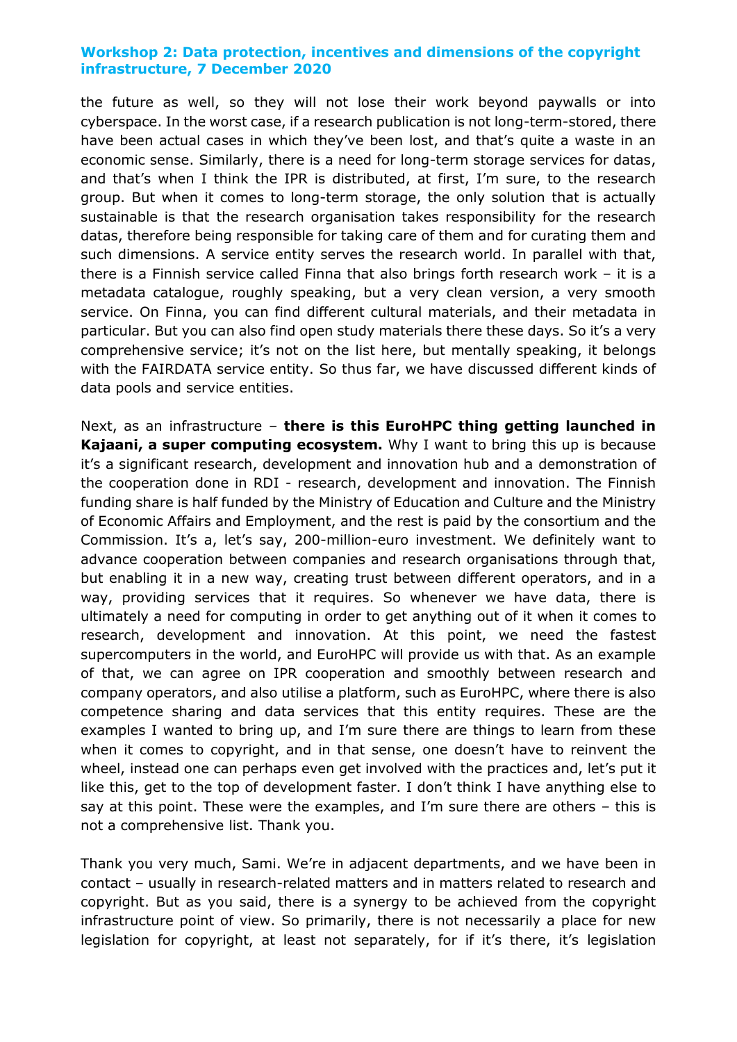the future as well, so they will not lose their work beyond paywalls or into cyberspace. In the worst case, if a research publication is not long-term-stored, there have been actual cases in which they've been lost, and that's quite a waste in an economic sense. Similarly, there is a need for long-term storage services for datas, and that's when I think the IPR is distributed, at first, I'm sure, to the research group. But when it comes to long-term storage, the only solution that is actually sustainable is that the research organisation takes responsibility for the research datas, therefore being responsible for taking care of them and for curating them and such dimensions. A service entity serves the research world. In parallel with that, there is a Finnish service called Finna that also brings forth research work – it is a metadata catalogue, roughly speaking, but a very clean version, a very smooth service. On Finna, you can find different cultural materials, and their metadata in particular. But you can also find open study materials there these days. So it's a very comprehensive service; it's not on the list here, but mentally speaking, it belongs with the FAIRDATA service entity. So thus far, we have discussed different kinds of data pools and service entities.

Next, as an infrastructure – **there is this EuroHPC thing getting launched in Kajaani, a super computing ecosystem.** Why I want to bring this up is because it's a significant research, development and innovation hub and a demonstration of the cooperation done in RDI - research, development and innovation. The Finnish funding share is half funded by the Ministry of Education and Culture and the Ministry of Economic Affairs and Employment, and the rest is paid by the consortium and the Commission. It's a, let's say, 200-million-euro investment. We definitely want to advance cooperation between companies and research organisations through that, but enabling it in a new way, creating trust between different operators, and in a way, providing services that it requires. So whenever we have data, there is ultimately a need for computing in order to get anything out of it when it comes to research, development and innovation. At this point, we need the fastest supercomputers in the world, and EuroHPC will provide us with that. As an example of that, we can agree on IPR cooperation and smoothly between research and company operators, and also utilise a platform, such as EuroHPC, where there is also competence sharing and data services that this entity requires. These are the examples I wanted to bring up, and I'm sure there are things to learn from these when it comes to copyright, and in that sense, one doesn't have to reinvent the wheel, instead one can perhaps even get involved with the practices and, let's put it like this, get to the top of development faster. I don't think I have anything else to say at this point. These were the examples, and I'm sure there are others – this is not a comprehensive list. Thank you.

Thank you very much, Sami. We're in adjacent departments, and we have been in contact – usually in research-related matters and in matters related to research and copyright. But as you said, there is a synergy to be achieved from the copyright infrastructure point of view. So primarily, there is not necessarily a place for new legislation for copyright, at least not separately, for if it's there, it's legislation